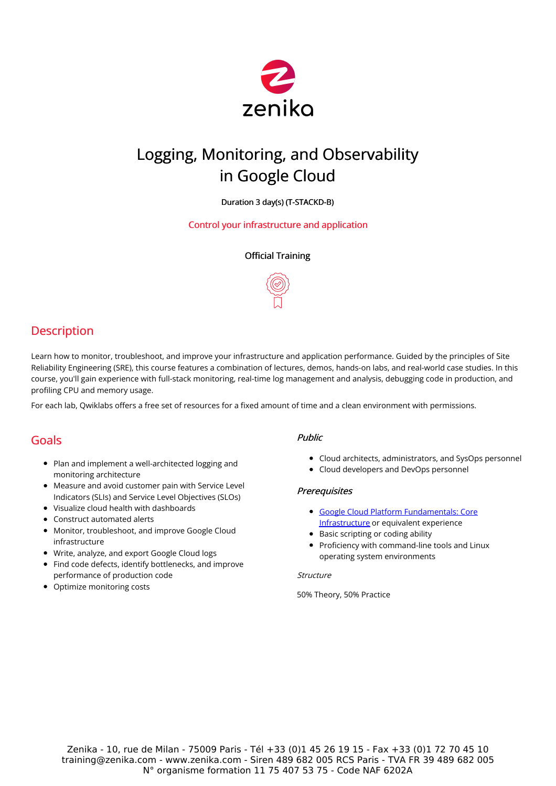

# Logging, Monitoring, and Observability in Google Cloud

Duration 3 day(s) (T-STACKD-B)

Control your infrastructure and application

# Official Training



# **Description**

Learn how to monitor, troubleshoot, and improve your infrastructure and application performance. Guided by the principles of Site Reliability Engineering (SRE), this course features a combination of lectures, demos, hands-on labs, and real-world case studies. In this course, you'll gain experience with full-stack monitoring, real-time log management and analysis, debugging code in production, and profiling CPU and memory usage.

For each lab, Qwiklabs offers a free set of resources for a fixed amount of time and a clean environment with permissions.

# Goals

- Plan and implement a well-architected logging and monitoring architecture
- Measure and avoid customer pain with Service Level Indicators (SLIs) and Service Level Objectives (SLOs)
- Visualize cloud health with dashboards
- Construct automated alerts
- Monitor, troubleshoot, and improve Google Cloud infrastructure
- Write, analyze, and export Google Cloud logs
- Find code defects, identify bottlenecks, and improve performance of production code
- Optimize monitoring costs

## Public

- Cloud architects, administrators, and SysOps personnel
- Cloud developers and DevOps personnel

# **Prerequisites**

- Google Cloud Platform [Fundamentals:](https://training.zenika.com/en-fr/training/gcp-core-infra/description) Core Infrastructure or equivalent experience
- Basic scripting or coding ability
- Proficiency with command-line tools and Linux operating system environments

#### **Structure**

50% Theory, 50% Practice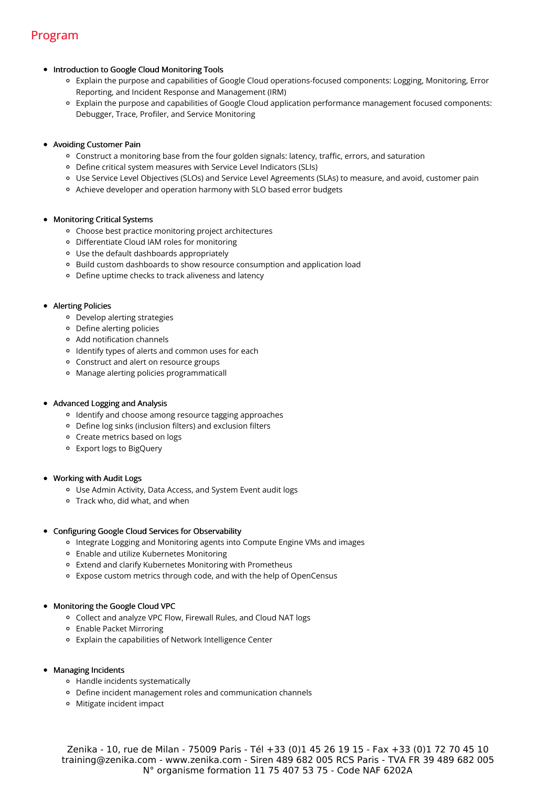# Program

#### • Introduction to Google Cloud Monitoring Tools

- Explain the purpose and capabilities of Google Cloud operations-focused components: Logging, Monitoring, Error Reporting, and Incident Response and Management (IRM)
- Explain the purpose and capabilities of Google Cloud application performance management focused components: Debugger, Trace, Profiler, and Service Monitoring

#### Avoiding Customer Pain

- Construct a monitoring base from the four golden signals: latency, traffic, errors, and saturation
- Define critical system measures with Service Level Indicators (SLIs)
- Use Service Level Objectives (SLOs) and Service Level Agreements (SLAs) to measure, and avoid, customer pain
- Achieve developer and operation harmony with SLO based error budgets

#### Monitoring Critical Systems

- Choose best practice monitoring project architectures
- Differentiate Cloud IAM roles for monitoring
- Use the default dashboards appropriately
- Build custom dashboards to show resource consumption and application load
- Define uptime checks to track aliveness and latency

#### • Alerting Policies

- Develop alerting strategies
- Define alerting policies
- Add notification channels
- <sup>o</sup> Identify types of alerts and common uses for each
- Construct and alert on resource groups
- Manage alerting policies programmaticall

## Advanced Logging and Analysis

- Identify and choose among resource tagging approaches
- Define log sinks (inclusion filters) and exclusion filters
- Create metrics based on logs
- Export logs to BigQuery

#### Working with Audit Logs

- Use Admin Activity, Data Access, and System Event audit logs
- Track who, did what, and when

## Configuring Google Cloud Services for Observability

- Integrate Logging and Monitoring agents into Compute Engine VMs and images
- Enable and utilize Kubernetes Monitoring
- Extend and clarify Kubernetes Monitoring with Prometheus
- Expose custom metrics through code, and with the help of OpenCensus

# Monitoring the Google Cloud VPC

- Collect and analyze VPC Flow, Firewall Rules, and Cloud NAT logs
- Enable Packet Mirroring
- Explain the capabilities of Network Intelligence Center

## Managing Incidents

- Handle incidents systematically
- Define incident management roles and communication channels
- Mitigate incident impact